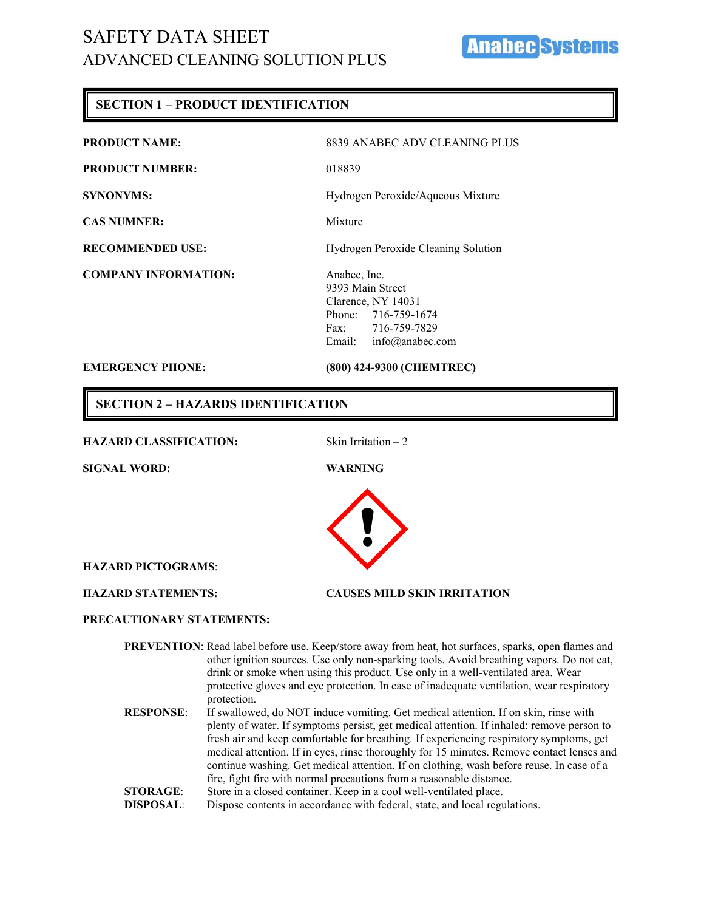# **Anabecks**

### **SECTION 1 – PRODUCT IDENTIFICATION**

| <b>EMERGENCY PHONE:</b>     | (800) 424-9300 (CHEMTREC)           |
|-----------------------------|-------------------------------------|
|                             | info@anabec.com<br>Email:           |
|                             | Fax: 716-759-7829                   |
|                             | Phone: 716-759-1674                 |
|                             | Clarence, NY 14031                  |
|                             | 9393 Main Street                    |
| <b>COMPANY INFORMATION:</b> | Anabec, Inc.                        |
|                             |                                     |
| <b>RECOMMENDED USE:</b>     | Hydrogen Peroxide Cleaning Solution |
| <b>CAS NUMNER:</b>          | Mixture                             |
|                             |                                     |
| <b>SYNONYMS:</b>            | Hydrogen Peroxide/Aqueous Mixture   |
| <b>PRODUCT NUMBER:</b>      | 018839                              |
|                             |                                     |
| <b>PRODUCT NAME:</b>        | 8839 ANABEC ADV CLEANING PLUS       |
|                             |                                     |

**SECTION 2 – HAZARDS IDENTIFICATION**

#### HAZARD CLASSIFICATION: Skin Irritation – 2

**SIGNAL WORD: WARNING**



**HAZARD PICTOGRAMS**:

**HAZARD STATEMENTS: CAUSES MILD SKIN IRRITATION**

#### **PRECAUTIONARY STATEMENTS:**

**PREVENTION**: Read label before use. Keep/store away from heat, hot surfaces, sparks, open flames and other ignition sources. Use only non-sparking tools. Avoid breathing vapors. Do not eat, drink or smoke when using this product. Use only in a well-ventilated area. Wear protective gloves and eye protection. In case of inadequate ventilation, wear respiratory protection. **RESPONSE**: If swallowed, do NOT induce vomiting. Get medical attention. If on skin, rinse with plenty of water. If symptoms persist, get medical attention. If inhaled: remove person to fresh air and keep comfortable for breathing. If experiencing respiratory symptoms, get medical attention. If in eyes, rinse thoroughly for 15 minutes. Remove contact lenses and continue washing. Get medical attention. If on clothing, wash before reuse. In case of a fire, fight fire with normal precautions from a reasonable distance.

- **STORAGE:** Store in a closed container. Keep in a cool well-ventilated place.
- **DISPOSAL:** Dispose contents in accordance with federal, state, and local regulations.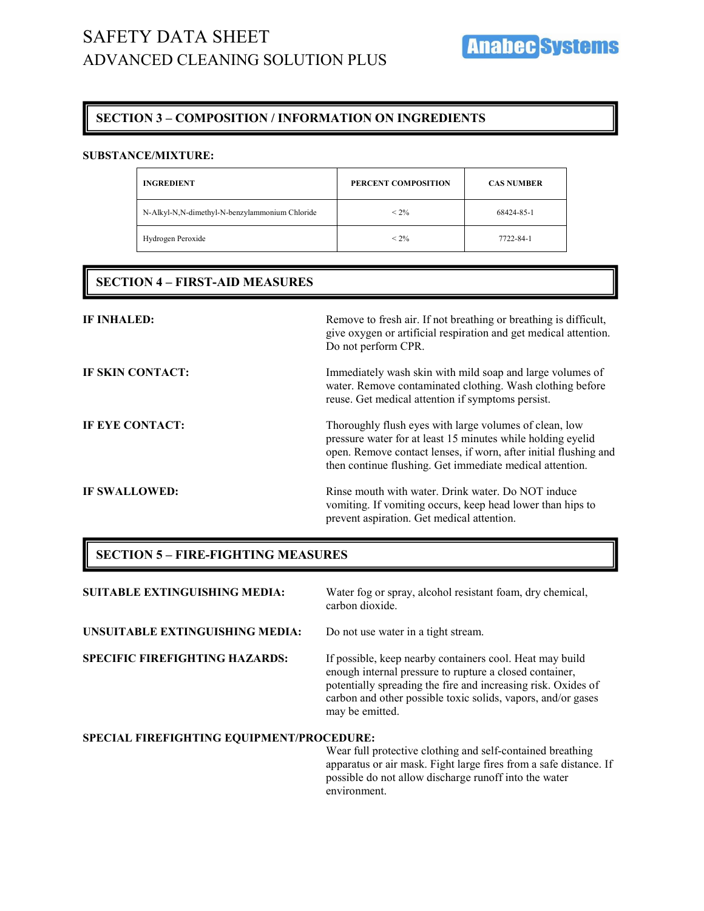## **SECTION 3 – COMPOSITION / INFORMATION ON INGREDIENTS**

#### **SUBSTANCE/MIXTURE:**

| <b>INGREDIENT</b>                              | PERCENT COMPOSITION | <b>CAS NUMBER</b> |
|------------------------------------------------|---------------------|-------------------|
| N-Alkyl-N,N-dimethyl-N-benzylammonium Chloride | $< 2\%$             | 68424-85-1        |
| Hydrogen Peroxide                              | $< 2\%$             | 7722-84-1         |

### **SECTION 4 – FIRST-AID MEASURES**

| <b>IF INHALED:</b>   | Remove to fresh air. If not breathing or breathing is difficult,<br>give oxygen or artificial respiration and get medical attention.<br>Do not perform CPR.                                                                                           |
|----------------------|-------------------------------------------------------------------------------------------------------------------------------------------------------------------------------------------------------------------------------------------------------|
| IF SKIN CONTACT:     | Immediately wash skin with mild soap and large volumes of<br>water. Remove contaminated clothing. Wash clothing before<br>reuse. Get medical attention if symptoms persist.                                                                           |
| IF EYE CONTACT:      | Thoroughly flush eyes with large volumes of clean, low<br>pressure water for at least 15 minutes while holding eyelid<br>open. Remove contact lenses, if worn, after initial flushing and<br>then continue flushing. Get immediate medical attention. |
| <b>IF SWALLOWED:</b> | Rinse mouth with water. Drink water. Do NOT induce<br>vomiting. If vomiting occurs, keep head lower than hips to<br>prevent aspiration. Get medical attention.                                                                                        |

#### **SECTION 5 – FIRE-FIGHTING MEASURES**

| <b>SUITABLE EXTINGUISHING MEDIA:</b>      | Water fog or spray, alcohol resistant foam, dry chemical,<br>carbon dioxide.                                                                                                                                                                                            |
|-------------------------------------------|-------------------------------------------------------------------------------------------------------------------------------------------------------------------------------------------------------------------------------------------------------------------------|
| UNSUITABLE EXTINGUISHING MEDIA:           | Do not use water in a tight stream.                                                                                                                                                                                                                                     |
| <b>SPECIFIC FIREFIGHTING HAZARDS:</b>     | If possible, keep nearby containers cool. Heat may build<br>enough internal pressure to rupture a closed container,<br>potentially spreading the fire and increasing risk. Oxides of<br>carbon and other possible toxic solids, vapors, and/or gases<br>may be emitted. |
| SPECIAL FIREFIGHTING EQUIPMENT/PROCEDURE: |                                                                                                                                                                                                                                                                         |
|                                           | Wear full protective clothing and self-contained breathing<br>apparatus or air mask. Fight large fires from a safe distance. If<br>possible do not allow discharge runoff into the water                                                                                |

environment.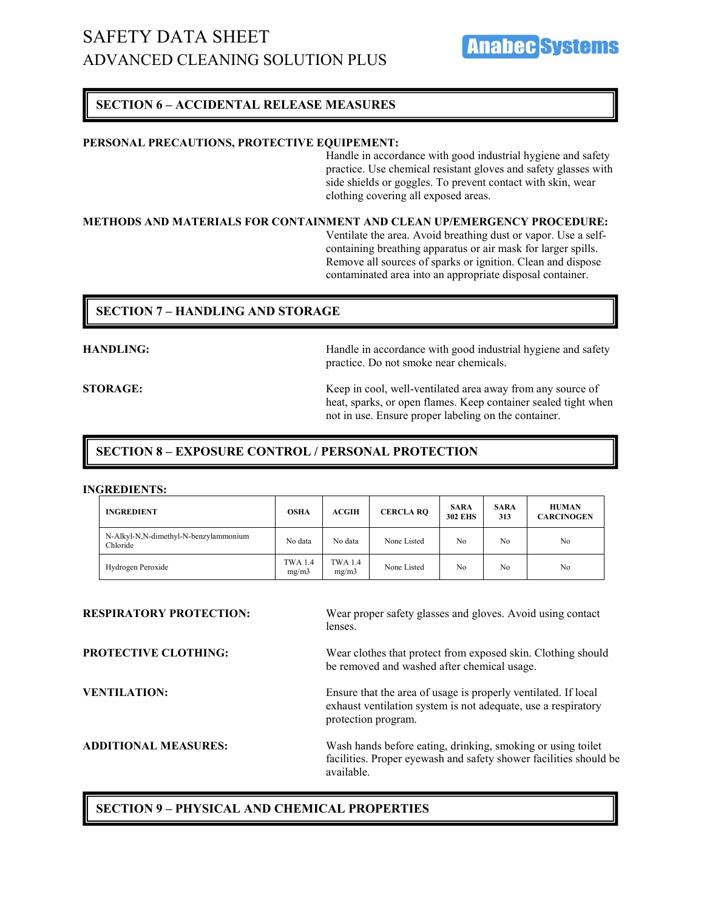#### **SECTION 6 – ACCIDENTAL RELEASE MEASURES**

#### **PERSONAL PRECAUTIONS, PROTECTIVE EQUIPEMENT:**

Handle in accordance with good industrial hygiene and safety practice. Use chemical resistant gloves and safety glasses with side shields or goggles. To prevent contact with skin, wear clothing covering all exposed areas.

#### **METHODS AND MATERIALS FOR CONTAINMENT AND CLEAN UP/EMERGENCY PROCEDURE:**

Ventilate the area. Avoid breathing dust or vapor. Use a selfcontaining breathing apparatus or air mask for larger spills. Remove all sources of sparks or ignition. Clean and dispose contaminated area into an appropriate disposal container.

#### **SECTION 7 – HANDLING AND STORAGE**

**HANDLING:** Handle in accordance with good industrial hygiene and safety practice. Do not smoke near chemicals.

**STORAGE:** Keep in cool, well-ventilated area away from any source of heat, sparks, or open flames. Keep container sealed tight when not in use. Ensure proper labeling on the container.

#### **SECTION 8 – EXPOSURE CONTROL / PERSONAL PROTECTION**

#### **INGREDIENTS:**

| <b>INGREDIENT</b>                                 | <b>OSHA</b>             | <b>ACGIH</b>            | <b>CERCLA RQ</b> | <b>SARA</b><br><b>302 EHS</b> | <b>SARA</b><br>313 | <b>HUMAN</b><br><b>CARCINOGEN</b> |
|---------------------------------------------------|-------------------------|-------------------------|------------------|-------------------------------|--------------------|-----------------------------------|
| N-Alkyl-N,N-dimethyl-N-benzylammonium<br>Chloride | No data                 | No data                 | None Listed      | No                            | No                 | No                                |
| Hydrogen Peroxide                                 | <b>TWA 1.4</b><br>mg/m3 | <b>TWA 1.4</b><br>mg/m3 | None Listed      | No                            | No                 | No                                |

**RESPIRATORY PROTECTION:** Wear proper safety glasses and gloves. Avoid using contact lenses. **PROTECTIVE CLOTHING:** Wear clothes that protect from exposed skin. Clothing should be removed and washed after chemical usage. **VENTILATION:** Ensure that the area of usage is properly ventilated. If local exhaust ventilation system is not adequate, use a respiratory protection program. **ADDITIONAL MEASURES:** Wash hands before eating, drinking, smoking or using toilet facilities. Proper eyewash and safety shower facilities should be available.

#### **SECTION 9 – PHYSICAL AND CHEMICAL PROPERTIES**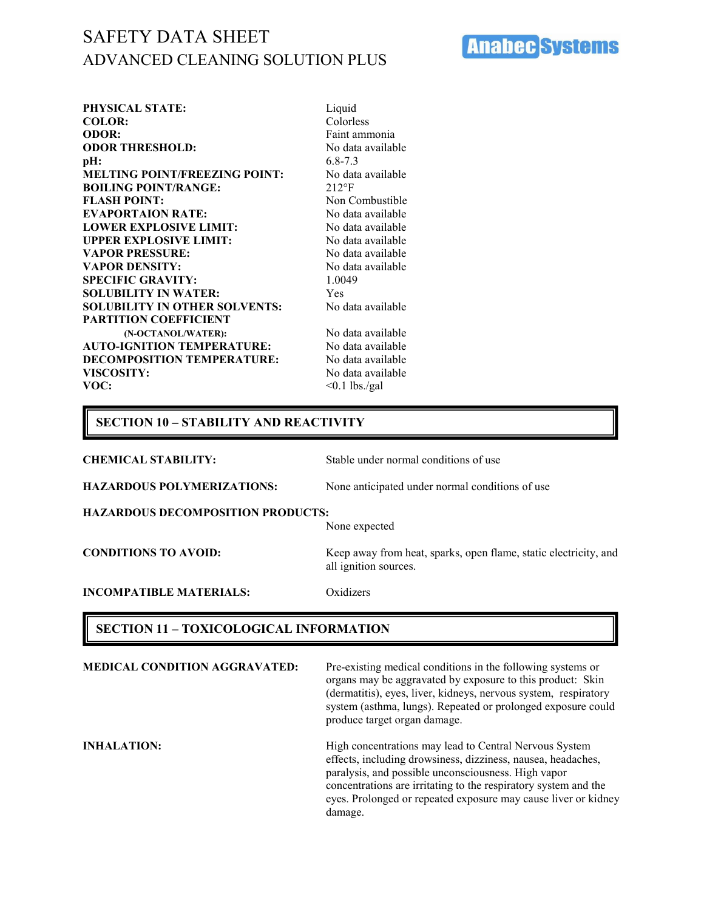**Anabec Systems** 

| <b>PHYSICAL STATE:</b>               | Liquid            |
|--------------------------------------|-------------------|
| <b>COLOR:</b>                        | Colorless         |
| <b>ODOR:</b>                         | Faint ammonia     |
| <b>ODOR THRESHOLD:</b>               | No data available |
| pH:                                  | $6.8 - 7.3$       |
| <b>MELTING POINT/FREEZING POINT:</b> | No data available |
| <b>BOILING POINT/RANGE:</b>          | $212^{\circ}F$    |
| <b>FLASH POINT:</b>                  | Non Combustible   |
| <b>EVAPORTAION RATE:</b>             | No data available |
| <b>LOWER EXPLOSIVE LIMIT:</b>        | No data available |
| <b>UPPER EXPLOSIVE LIMIT:</b>        | No data available |
| <b>VAPOR PRESSURE:</b>               | No data available |
| <b>VAPOR DENSITY:</b>                | No data available |
| <b>SPECIFIC GRAVITY:</b>             | 1.0049            |
| <b>SOLUBILITY IN WATER:</b>          | Yes               |
| <b>SOLUBILITY IN OTHER SOLVENTS:</b> | No data available |
| <b>PARTITION COEFFICIENT</b>         |                   |
| (N-OCTANOL/WATER):                   | No data available |
| <b>AUTO-IGNITION TEMPERATURE:</b>    | No data available |
| <b>DECOMPOSITION TEMPERATURE:</b>    | No data available |
| <b>VISCOSITY:</b>                    | No data available |
| VOC:                                 | $< 0.1$ lbs./gal  |
|                                      |                   |

## **SECTION 10 – STABILITY AND REACTIVITY**

| <b>CHEMICAL STABILITY:</b>               | Stable under normal conditions of use                                                     |
|------------------------------------------|-------------------------------------------------------------------------------------------|
| <b>HAZARDOUS POLYMERIZATIONS:</b>        | None anticipated under normal conditions of use.                                          |
| <b>HAZARDOUS DECOMPOSITION PRODUCTS:</b> | None expected                                                                             |
| <b>CONDITIONS TO AVOID:</b>              | Keep away from heat, sparks, open flame, static electricity, and<br>all ignition sources. |
| <b>INCOMPATIBLE MATERIALS:</b>           | Oxidizers                                                                                 |
|                                          |                                                                                           |

## **SECTION 11 – TOXICOLOGICAL INFORMATION**

| <b>MEDICAL CONDITION AGGRAVATED:</b> | Pre-existing medical conditions in the following systems or<br>organs may be aggravated by exposure to this product: Skin<br>(dermatitis), eyes, liver, kidneys, nervous system, respiratory<br>system (asthma, lungs). Repeated or prolonged exposure could<br>produce target organ damage.                                  |
|--------------------------------------|-------------------------------------------------------------------------------------------------------------------------------------------------------------------------------------------------------------------------------------------------------------------------------------------------------------------------------|
| <b>INHALATION:</b>                   | High concentrations may lead to Central Nervous System<br>effects, including drowsiness, dizziness, nausea, headaches,<br>paralysis, and possible unconsciousness. High vapor<br>concentrations are irritating to the respiratory system and the<br>eyes. Prolonged or repeated exposure may cause liver or kidney<br>damage. |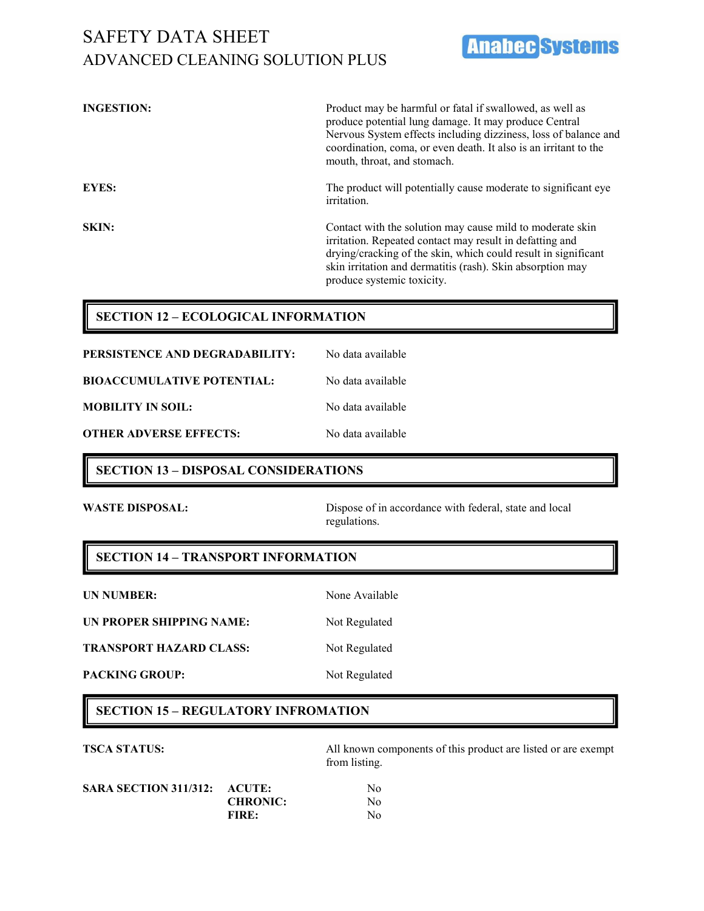**INGESTION:** Product may be harmful or fatal if swallowed, as well as produce potential lung damage. It may produce Central Nervous System effects including dizziness, loss of balance and coordination, coma, or even death. It also is an irritant to the mouth, throat, and stomach. **EYES:** The product will potentially cause moderate to significant eye irritation. **SKIN:** Contact with the solution may cause mild to moderate skin irritation. Repeated contact may result in defatting and drying/cracking of the skin, which could result in significant skin irritation and dermatitis (rash). Skin absorption may produce systemic toxicity.

### **SECTION 12 – ECOLOGICAL INFORMATION**

| PERSISTENCE AND DEGRADABILITY:    | No data available |
|-----------------------------------|-------------------|
| <b>BIOACCUMULATIVE POTENTIAL:</b> | No data available |
| <b>MOBILITY IN SOIL:</b>          | No data available |
| OTHER ADVERSE EFFECTS:            | No data available |

#### **SECTION 13 – DISPOSAL CONSIDERATIONS**

**WASTE DISPOSAL:** Dispose of in accordance with federal, state and local regulations.

**Anabec Systems** 

#### **SECTION 14 – TRANSPORT INFORMATION**

**UN PROPER SHIPPING NAME:** Not Regulated

**TRANSPORT HAZARD CLASS:** Not Regulated

**UN NUMBER:** None Available

PACKING GROUP: Not Regulated

#### **SECTION 15 – REGULATORY INFROMATION**

**TSCA STATUS:** All known components of this product are listed or are exempt from listing.

| SARA SECTION 311/312: ACUTE: |                 | No |
|------------------------------|-----------------|----|
|                              | <b>CHRONIC:</b> | No |
|                              | <b>FIRE:</b>    | No |